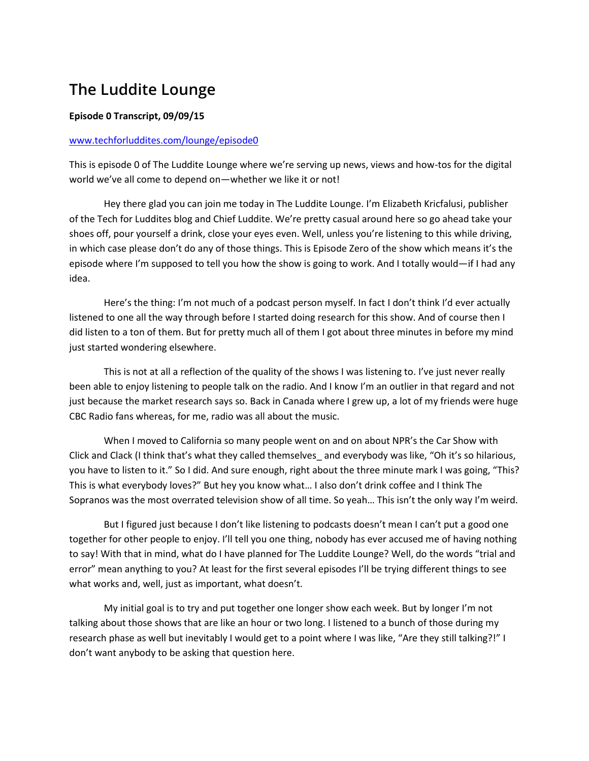## **The Luddite Lounge**

## **Episode 0 Transcript, 09/09/15**

## [www.techforluddites.com/lounge/episode0](http://www.techforluddites.com/lounge/episode0)

This is episode 0 of The Luddite Lounge where we're serving up news, views and how-tos for the digital world we've all come to depend on—whether we like it or not!

Hey there glad you can join me today in The Luddite Lounge. I'm Elizabeth Kricfalusi, publisher of the Tech for Luddites blog and Chief Luddite. We're pretty casual around here so go ahead take your shoes off, pour yourself a drink, close your eyes even. Well, unless you're listening to this while driving, in which case please don't do any of those things. This is Episode Zero of the show which means it's the episode where I'm supposed to tell you how the show is going to work. And I totally would—if I had any idea.

Here's the thing: I'm not much of a podcast person myself. In fact I don't think I'd ever actually listened to one all the way through before I started doing research for this show. And of course then I did listen to a ton of them. But for pretty much all of them I got about three minutes in before my mind just started wondering elsewhere.

This is not at all a reflection of the quality of the shows I was listening to. I've just never really been able to enjoy listening to people talk on the radio. And I know I'm an outlier in that regard and not just because the market research says so. Back in Canada where I grew up, a lot of my friends were huge CBC Radio fans whereas, for me, radio was all about the music.

When I moved to California so many people went on and on about NPR's the Car Show with Click and Clack (I think that's what they called themselves and everybody was like, "Oh it's so hilarious, you have to listen to it." So I did. And sure enough, right about the three minute mark I was going, "This? This is what everybody loves?" But hey you know what… I also don't drink coffee and I think The Sopranos was the most overrated television show of all time. So yeah… This isn't the only way I'm weird.

But I figured just because I don't like listening to podcasts doesn't mean I can't put a good one together for other people to enjoy. I'll tell you one thing, nobody has ever accused me of having nothing to say! With that in mind, what do I have planned for The Luddite Lounge? Well, do the words "trial and error" mean anything to you? At least for the first several episodes I'll be trying different things to see what works and, well, just as important, what doesn't.

My initial goal is to try and put together one longer show each week. But by longer I'm not talking about those shows that are like an hour or two long. I listened to a bunch of those during my research phase as well but inevitably I would get to a point where I was like, "Are they still talking?!" I don't want anybody to be asking that question here.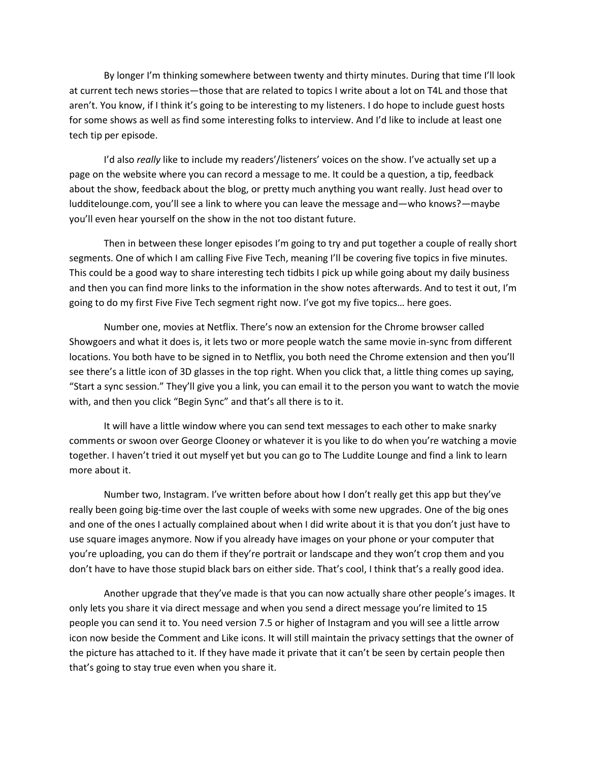By longer I'm thinking somewhere between twenty and thirty minutes. During that time I'll look at current tech news stories—those that are related to topics I write about a lot on T4L and those that aren't. You know, if I think it's going to be interesting to my listeners. I do hope to include guest hosts for some shows as well as find some interesting folks to interview. And I'd like to include at least one tech tip per episode.

I'd also *really* like to include my readers'/listeners' voices on the show. I've actually set up a page on the website where you can record a message to me. It could be a question, a tip, feedback about the show, feedback about the blog, or pretty much anything you want really. Just head over to ludditelounge.com, you'll see a link to where you can leave the message and—who knows?—maybe you'll even hear yourself on the show in the not too distant future.

Then in between these longer episodes I'm going to try and put together a couple of really short segments. One of which I am calling Five Five Tech, meaning I'll be covering five topics in five minutes. This could be a good way to share interesting tech tidbits I pick up while going about my daily business and then you can find more links to the information in the show notes afterwards. And to test it out, I'm going to do my first Five Five Tech segment right now. I've got my five topics… here goes.

Number one, movies at Netflix. There's now an extension for the Chrome browser called Showgoers and what it does is, it lets two or more people watch the same movie in-sync from different locations. You both have to be signed in to Netflix, you both need the Chrome extension and then you'll see there's a little icon of 3D glasses in the top right. When you click that, a little thing comes up saying, "Start a sync session." They'll give you a link, you can email it to the person you want to watch the movie with, and then you click "Begin Sync" and that's all there is to it.

It will have a little window where you can send text messages to each other to make snarky comments or swoon over George Clooney or whatever it is you like to do when you're watching a movie together. I haven't tried it out myself yet but you can go to The Luddite Lounge and find a link to learn more about it.

Number two, Instagram. I've written before about how I don't really get this app but they've really been going big-time over the last couple of weeks with some new upgrades. One of the big ones and one of the ones I actually complained about when I did write about it is that you don't just have to use square images anymore. Now if you already have images on your phone or your computer that you're uploading, you can do them if they're portrait or landscape and they won't crop them and you don't have to have those stupid black bars on either side. That's cool, I think that's a really good idea.

Another upgrade that they've made is that you can now actually share other people's images. It only lets you share it via direct message and when you send a direct message you're limited to 15 people you can send it to. You need version 7.5 or higher of Instagram and you will see a little arrow icon now beside the Comment and Like icons. It will still maintain the privacy settings that the owner of the picture has attached to it. If they have made it private that it can't be seen by certain people then that's going to stay true even when you share it.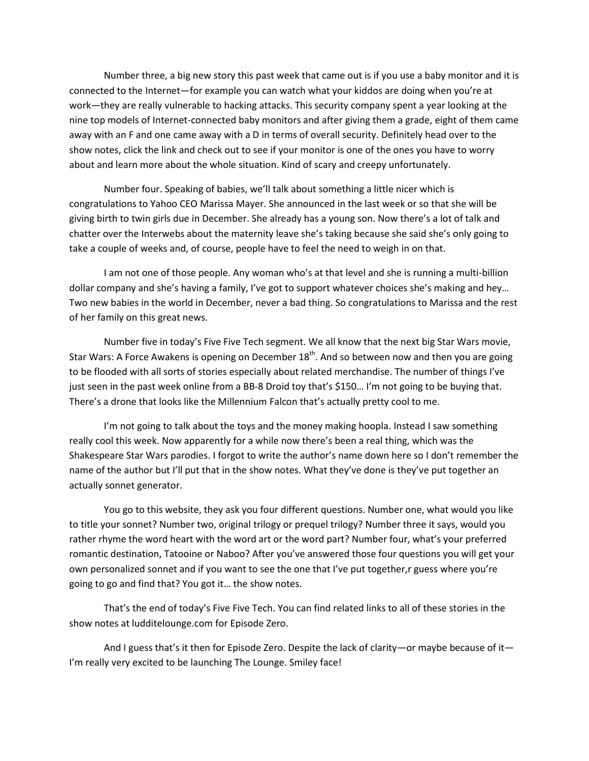Number three, a big new story this past week that came out is if you use a baby monitor and it is connected to the Internet—for example you can watch what your kiddos are doing when you're at work—they are really vulnerable to hacking attacks. This security company spent a year looking at the nine top models of Internet-connected baby monitors and after giving them a grade, eight of them came away with an F and one came away with a D in terms of overall security. Definitely head over to the show notes, click the link and check out to see if your monitor is one of the ones you have to worry about and learn more about the whole situation. Kind of scary and creepy unfortunately.

Number four. Speaking of babies, we'll talk about something a little nicer which is congratulations to Yahoo CEO Marissa Mayer. She announced in the last week or so that she will be giving birth to twin girls due in December. She already has a young son. Now there's a lot of talk and chatter over the Interwebs about the maternity leave she's taking because she said she's only going to take a couple of weeks and, of course, people have to feel the need to weigh in on that.

I am not one of those people. Any woman who's at that level and she is running a multi-billion dollar company and she's having a family, I've got to support whatever choices she's making and hey… Two new babies in the world in December, never a bad thing. So congratulations to Marissa and the rest of her family on this great news.

Number five in today's Five Five Tech segment. We all know that the next big Star Wars movie, Star Wars: A Force Awakens is opening on December  $18<sup>th</sup>$ . And so between now and then you are going to be flooded with all sorts of stories especially about related merchandise. The number of things I've just seen in the past week online from a BB-8 Droid toy that's \$150… I'm not going to be buying that. There's a drone that looks like the Millennium Falcon that's actually pretty cool to me.

I'm not going to talk about the toys and the money making hoopla. Instead I saw something really cool this week. Now apparently for a while now there's been a real thing, which was the Shakespeare Star Wars parodies. I forgot to write the author's name down here so I don't remember the name of the author but I'll put that in the show notes. What they've done is they've put together an actually sonnet generator.

You go to this website, they ask you four different questions. Number one, what would you like to title your sonnet? Number two, original trilogy or prequel trilogy? Number three it says, would you rather rhyme the word heart with the word art or the word part? Number four, what's your preferred romantic destination, Tatooine or Naboo? After you've answered those four questions you will get your own personalized sonnet and if you want to see the one that I've put together,r guess where you're going to go and find that? You got it… the show notes.

That's the end of today's Five Five Tech. You can find related links to all of these stories in the show notes at ludditelounge.com for Episode Zero.

And I guess that's it then for Episode Zero. Despite the lack of clarity—or maybe because of it— I'm really very excited to be launching The Lounge. Smiley face!